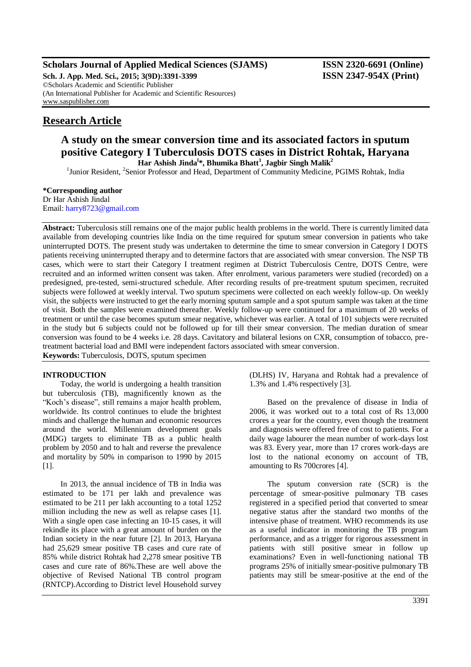# **Scholars Journal of Applied Medical Sciences (SJAMS) ISSN 2320-6691 (Online)**

**Sch. J. App. Med. Sci., 2015; 3(9D):3391-3399 ISSN 2347-954X (Print)** ©Scholars Academic and Scientific Publisher (An International Publisher for Academic and Scientific Resources) [www.saspublisher.com](http://www.saspublisher.com/)

# **Research Article**

# **A study on the smear conversion time and its associated factors in sputum positive Category I Tuberculosis DOTS cases in District Rohtak, Haryana Har Ashish Jinda<sup>l</sup> \*, Bhumika Bhatt<sup>1</sup> , Jagbir Singh Malik<sup>2</sup>**

<sup>1</sup>Junior Resident, <sup>2</sup>Senior Professor and Head, Department of Community Medicine, PGIMS Rohtak, India

#### **\*Corresponding author**

Dr Har Ashish Jindal Email: [harry8723@gmail.com](mailto:harry8723@gmail.com)

Abstract: Tuberculosis still remains one of the major public health problems in the world. There is currently limited data available from developing countries like India on the time required for sputum smear conversion in patients who take uninterrupted DOTS. The present study was undertaken to determine the time to smear conversion in Category I DOTS patients receiving uninterrupted therapy and to determine factors that are associated with smear conversion. The NSP TB cases, which were to start their Category I treatment regimen at District Tuberculosis Centre, DOTS Centre, were recruited and an informed written consent was taken. After enrolment, various parameters were studied (recorded) on a predesigned, pre-tested, semi-structured schedule. After recording results of pre-treatment sputum specimen, recruited subjects were followed at weekly interval. Two sputum specimens were collected on each weekly follow-up. On weekly visit, the subjects were instructed to get the early morning sputum sample and a spot sputum sample was taken at the time of visit. Both the samples were examined thereafter. Weekly follow-up were continued for a maximum of 20 weeks of treatment or until the case becomes sputum smear negative, whichever was earlier. A total of 101 subjects were recruited in the study but 6 subjects could not be followed up for till their smear conversion. The median duration of smear conversion was found to be 4 weeks i.e. 28 days. Cavitatory and bilateral lesions on CXR, consumption of tobacco, pretreatment bacterial load and BMI were independent factors associated with smear conversion.

**Keywords:** Tuberculosis, DOTS, sputum specimen

#### **INTRODUCTION**

Today, the world is undergoing a health transition but tuberculosis (TB), magnificently known as the "Koch's disease", still remains a major health problem, worldwide. Its control continues to elude the brightest minds and challenge the human and economic resources around the world. Millennium development goals (MDG) targets to eliminate TB as a public health problem by 2050 and to halt and reverse the prevalence and mortality by 50% in comparison to 1990 by 2015 [1].

In 2013, the annual incidence of TB in India was estimated to be 171 per lakh and prevalence was estimated to be 211 per lakh accounting to a total 1252 million including the new as well as relapse cases [1]. With a single open case infecting an 10-15 cases, it will rekindle its place with a great amount of burden on the Indian society in the near future [2]. In 2013, Haryana had 25,629 smear positive TB cases and cure rate of 85% while district Rohtak had 2,278 smear positive TB cases and cure rate of 86%.These are well above the objective of Revised National TB control program (RNTCP).According to District level Household survey

(DLHS) IV, Haryana and Rohtak had a prevalence of 1.3% and 1.4% respectively [3].

Based on the prevalence of disease in India of 2006, it was worked out to a total cost of Rs 13,000 crores a year for the country, even though the treatment and diagnosis were offered free of cost to patients. For a daily wage labourer the mean number of work-days lost was 83. Every year, more than 17 crores work-days are lost to the national economy on account of TB, amounting to Rs 700crores [4].

The sputum conversion rate (SCR) is the percentage of smear-positive pulmonary TB cases registered in a specified period that converted to smear negative status after the standard two months of the intensive phase of treatment. WHO recommends its use as a useful indicator in monitoring the TB program performance, and as a trigger for rigorous assessment in patients with still positive smear in follow up examinations? Even in well-functioning national TB programs 25% of initially smear-positive pulmonary TB patients may still be smear-positive at the end of the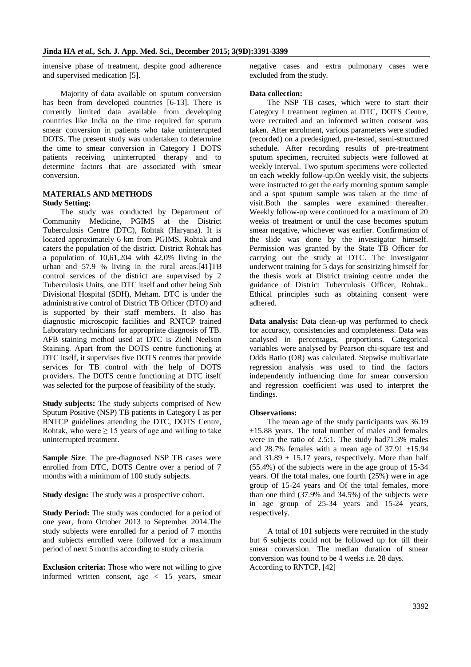intensive phase of treatment, despite good adherence and supervised medication [5].

Majority of data available on sputum conversion has been from developed countries [6-13]. There is currently limited data available from developing countries like India on the time required for sputum smear conversion in patients who take uninterrupted DOTS. The present study was undertaken to determine the time to smear conversion in Category I DOTS patients receiving uninterrupted therapy and to determine factors that are associated with smear conversion.

### **MATERIALS AND METHODS Study Setting:**

The study was conducted by Department of Community Medicine, PGIMS at the District Tuberculosis Centre (DTC), Rohtak (Haryana). It is located approximately 6 km from PGIMS, Rohtak and caters the population of the district. District Rohtak has a population of 10,61,204 with 42.0% living in the urban and 57.9 % living in the rural areas.[41]TB control services of the district are supervised by 2 Tuberculosis Units, one DTC itself and other being Sub Divisional Hospital (SDH), Meham. DTC is under the administrative control of District TB Officer (DTO) and is supported by their staff members. It also has diagnostic microscopic facilities and RNTCP trained Laboratory technicians for appropriate diagnosis of TB. AFB staining method used at DTC is Ziehl Neelson Staining. Apart from the DOTS centre functioning at DTC itself, it supervises five DOTS centres that provide services for TB control with the help of DOTS providers. The DOTS centre functioning at DTC itself was selected for the purpose of feasibility of the study.

**Study subjects:** The study subjects comprised of New Sputum Positive (NSP) TB patients in Category I as per RNTCP guidelines attending the DTC, DOTS Centre, Rohtak, who were  $\geq 15$  years of age and willing to take uninterrupted treatment.

**Sample Size**: The pre-diagnosed NSP TB cases were enrolled from DTC, DOTS Centre over a period of 7 months with a minimum of 100 study subjects.

**Study design:** The study was a prospective cohort.

**Study Period:** The study was conducted for a period of one year, from October 2013 to September 2014.The study subjects were enrolled for a period of 7 months and subjects enrolled were followed for a maximum period of next 5 months according to study criteria.

**Exclusion criteria:** Those who were not willing to give informed written consent, age < 15 years, smear negative cases and extra pulmonary cases were excluded from the study.

## **Data collection:**

The NSP TB cases, which were to start their Category I treatment regimen at DTC, DOTS Centre, were recruited and an informed written consent was taken. After enrolment, various parameters were studied (recorded) on a predesigned, pre-tested, semi-structured schedule. After recording results of pre-treatment sputum specimen, recruited subjects were followed at weekly interval. Two sputum specimens were collected on each weekly follow-up.On weekly visit, the subjects were instructed to get the early morning sputum sample and a spot sputum sample was taken at the time of visit.Both the samples were examined thereafter. Weekly follow-up were continued for a maximum of 20 weeks of treatment or until the case becomes sputum smear negative, whichever was earlier. Confirmation of the slide was done by the investigator himself. Permission was granted by the State TB Officer for carrying out the study at DTC. The investigator underwent training for 5 days for sensitizing himself for the thesis work at District training centre under the guidance of District Tuberculosis Officer, Rohtak.. Ethical principles such as obtaining consent were adhered.

**Data analysis:** Data clean-up was performed to check for accuracy, consistencies and completeness. Data was analysed in percentages, proportions. Categorical variables were analysed by Pearson chi-square test and Odds Ratio (OR) was calculated. Stepwise multivariate regression analysis was used to find the factors independently influencing time for smear conversion and regression coefficient was used to interpret the findings.

#### **Observations:**

The mean age of the study participants was 36.19  $\pm 15.88$  years. The total number of males and females were in the ratio of 2.5:1. The study had71.3% males and  $28.7\%$  females with a mean age of  $37.91 \pm 15.94$ and  $31.89 \pm 15.17$  years, respectively. More than half (55.4%) of the subjects were in the age group of 15-34 years. Of the total males, one fourth (25%) were in age group of 15-24 years and Of the total females, more than one third (37.9% and 34.5%) of the subjects were in age group of 25-34 years and 15-24 years, respectively.

A total of 101 subjects were recruited in the study but 6 subjects could not be followed up for till their smear conversion. The median duration of smear conversion was found to be 4 weeks i.e. 28 days. According to RNTCP, [42]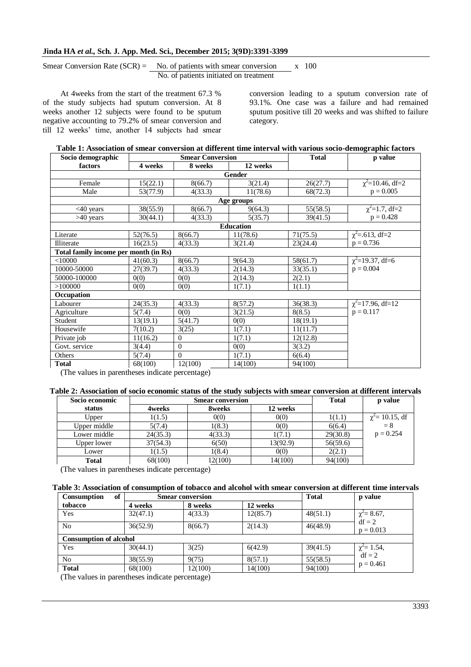# Smear Conversion Rate (SCR) = No. of patients with smear conversion  $x = 100$ No. of patients initiated on treatment

At 4weeks from the start of the treatment 67.3 % of the study subjects had sputum conversion. At 8 weeks another 12 subjects were found to be sputum negative accounting to 79.2% of smear conversion and till 12 weeks' time, another 14 subjects had smear

conversion leading to a sputum conversion rate of 93.1%. One case was a failure and had remained sputum positive till 20 weeks and was shifted to failure category.

|  |  | Table 1: Association of smear conversion at different time interval with various socio-demographic factors |  |  |  |  |
|--|--|------------------------------------------------------------------------------------------------------------|--|--|--|--|
|  |  |                                                                                                            |  |  |  |  |

| Socio demographic                     |            | <b>Smear Conversion</b> |                  | <b>Total</b> | p value                |  |  |  |  |
|---------------------------------------|------------|-------------------------|------------------|--------------|------------------------|--|--|--|--|
| factors                               | 4 weeks    | 8 weeks                 | 12 weeks         |              |                        |  |  |  |  |
|                                       |            |                         | Gender           |              |                        |  |  |  |  |
| Female                                | 15(22.1)   | 8(66.7)                 | 3(21.4)          | 26(27.7)     | $\chi^2$ =10.46, df=2  |  |  |  |  |
| Male                                  | 53(77.9)   | 4(33.3)                 | 11(78.6)         | 68(72.3)     | $p = 0.005$            |  |  |  |  |
|                                       | Age groups |                         |                  |              |                        |  |  |  |  |
| $<40$ years                           | 38(55.9)   | 8(66.7)                 | 9(64.3)          | 55(58.5)     | $\chi^2$ =1.7, df=2    |  |  |  |  |
| $>40$ years                           | 30(44.1)   | 4(33.3)                 | 5(35.7)          | 39(41.5)     | $p = 0.428$            |  |  |  |  |
|                                       |            |                         | <b>Education</b> |              |                        |  |  |  |  |
| Literate                              | 52(76.5)   | 8(66.7)                 | 11(78.6)         | 71(75.5)     | $\chi^2$ =.613, df=2   |  |  |  |  |
| <b>Illiterate</b>                     | 16(23.5)   | 4(33.3)                 | 3(21.4)          | 23(24.4)     | $p = 0.736$            |  |  |  |  |
| Total family income per month (in Rs) |            |                         |                  |              |                        |  |  |  |  |
| $<$ 10000                             | 41(60.3)   | 8(66.7)                 | 9(64.3)          | 58(61.7)     | $\chi^2$ =19.37, df=6  |  |  |  |  |
| 10000-50000                           | 27(39.7)   | 4(33.3)                 | 2(14.3)          | 33(35.1)     | $p = 0.004$            |  |  |  |  |
| 50000-100000                          | 0(0)       | 0(0)                    | 2(14.3)          | 2(2.1)       |                        |  |  |  |  |
| >100000                               | 0(0)       | 0(0)                    | 1(7.1)           | 1(1.1)       |                        |  |  |  |  |
| Occupation                            |            |                         |                  |              |                        |  |  |  |  |
| Labourer                              | 24(35.3)   | 4(33.3)                 | 8(57.2)          | 36(38.3)     | $\chi^2$ =17.96, df=12 |  |  |  |  |
| Agriculture                           | 5(7.4)     | 0(0)                    | 3(21.5)          | 8(8.5)       | $p = 0.117$            |  |  |  |  |
| Student                               | 13(19.1)   | 5(41.7)                 | 0(0)             | 18(19.1)     |                        |  |  |  |  |
| Housewife                             | 7(10.2)    | 3(25)                   | 1(7.1)           | 11(11.7)     |                        |  |  |  |  |
| Private job                           | 11(16.2)   | $\overline{0}$          | 1(7.1)           | 12(12.8)     |                        |  |  |  |  |
| Govt. service                         | 3(4.4)     | $\overline{0}$          | 0(0)             | 3(3.2)       |                        |  |  |  |  |
| Others                                | 5(7.4)     | $\overline{0}$          | 1(7.1)           | 6(6.4)       |                        |  |  |  |  |
| <b>Total</b>                          | 68(100)    | 12(100)                 | 14(100)          | 94(100)      |                        |  |  |  |  |

(The values in parentheses indicate percentage)

#### **Table 2: Association of socio economic status of the study subjects with smear conversion at different intervals**

| Socio economic |          | <b>Smear conversion</b> |          | <b>Total</b> | p value              |
|----------------|----------|-------------------------|----------|--------------|----------------------|
| status         | 4weeks   | 8weeks                  | 12 weeks |              |                      |
| Upper          | 1(1.5)   | 0(0)                    | 0(0)     | 1(1.1)       | $\chi^2$ = 10.15, df |
| Upper middle   | 5(7.4)   | 1(8.3)                  | 0(0)     | 6(6.4)       | $= 8$                |
| Lower middle   | 24(35.3) | 4(33.3)                 | 1(7.1)   | 29(30.8)     | $p = 0.254$          |
| Upper lower    | 37(54.3) | 6(50)                   | 13(92.9) | 56(59.6)     |                      |
| Lower          | 1(1.5)   | 1(8.4)                  | 0(0)     | 2(2.1)       |                      |
| <b>Total</b>   | 68(100)  | 12(100)                 | 14(100)  | 94(100)      |                      |

(The values in parentheses indicate percentage)

# **Table 3: Association of consumption of tobacco and alcohol with smear conversion at different time intervals**

| of<br>Consumption |                               | <b>Smear conversion</b> |          | <b>Total</b> | p value                      |  |  |  |  |
|-------------------|-------------------------------|-------------------------|----------|--------------|------------------------------|--|--|--|--|
| tobacco           | 4 weeks                       | 8 weeks                 | 12 weeks |              |                              |  |  |  |  |
| Yes               | 32(47.1)                      | 4(33.3)                 | 12(85.7) | 48(51.1)     | $\chi^2$ = 8.67,             |  |  |  |  |
| N <sub>o</sub>    | 36(52.9)                      | 8(66.7)                 | 2(14.3)  | 46(48.9)     | $df = 2$<br>$p = 0.013$      |  |  |  |  |
|                   | <b>Consumption of alcohol</b> |                         |          |              |                              |  |  |  |  |
| Yes               | 30(44.1)                      | 3(25)                   | 6(42.9)  | 39(41.5)     | $\chi^2$ = 1.54,<br>$df = 2$ |  |  |  |  |
| N <sub>0</sub>    | 38(55.9)                      | 9(75)                   | 8(57.1)  | 55(58.5)     | $p = 0.461$                  |  |  |  |  |
| <b>Total</b>      | 68(100)                       | 12(100)                 | 14(100)  | 94(100)      |                              |  |  |  |  |

(The values in parentheses indicate percentage)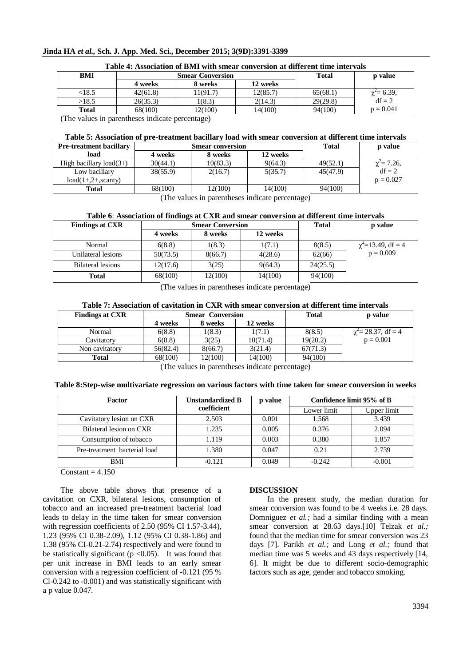# **Jinda HA** *et al.,* **Sch. J. App. Med. Sci., December 2015; 3(9D):3391-3399**

| Table 4: Association of BMI with smear conversion at different time intervals |          |                         |          |          |                            |  |  |  |
|-------------------------------------------------------------------------------|----------|-------------------------|----------|----------|----------------------------|--|--|--|
| BMI                                                                           |          | <b>Smear Conversion</b> | Total    | p value  |                            |  |  |  |
|                                                                               | 4 weeks  | 8 weeks                 | 12 weeks |          |                            |  |  |  |
| < 18.5                                                                        | 42(61.8) | 11(91.7)                | 12(85.7) | 65(68.1) | $\chi^2 = 6.39,$<br>df = 2 |  |  |  |
| >18.5                                                                         | 26(35.3) | 1(8.3)                  | 2(14.3)  | 29(29.8) |                            |  |  |  |
| <b>Total</b>                                                                  | 68(100)  | 12(100)                 | 14(100)  | 94(100)  | $p = 0.041$                |  |  |  |

(The values in parentheses indicate percentage)

#### **Table 5: Association of pre-treatment bacillary load with smear conversion at different time intervals**

| <b>Pre-treatment bacillary</b> |          | <b>Smear conversion</b> |          | <b>Total</b> | p value          |
|--------------------------------|----------|-------------------------|----------|--------------|------------------|
| load                           | 4 weeks  | 8 weeks                 | 12 weeks |              |                  |
| High bacillary $load(3+)$      | 30(44.1) | 10(83.3)                | 9(64.3)  | 49(52.1)     | $\chi^2$ = 7.26, |
| Low bacillary                  | 38(55.9) | 2(16.7)                 | 5(35.7)  | 45(47.9)     | $df = 2$         |
| $load(1+,2+,search)$           |          |                         |          |              | $p = 0.027$      |
| Total                          | 68(100)  | 12(100)                 | 14(100)  | 94(100)      |                  |

(The values in parentheses indicate percentage)

#### **Table 6**: **Association of findings at CXR and smear conversion at different time intervals**

| <b>Findings at CXR</b>   |          | <b>Smear Conversion</b> | <b>Total</b> | p value  |                         |
|--------------------------|----------|-------------------------|--------------|----------|-------------------------|
|                          | 4 weeks  | 8 weeks                 | 12 weeks     |          |                         |
| Normal                   | 6(8.8)   | 1(8.3)                  | 1(7.1)       | 8(8.5)   | $\chi^2$ =13.49, df = 4 |
| Unilateral lesions       | 50(73.5) | 8(66.7)                 | 4(28.6)      | 62(66)   | $p = 0.009$             |
| <b>Bilateral lesions</b> | 12(17.6) | 3(25)                   | 9(64.3)      | 24(25.5) |                         |
| Total                    | 68(100)  | 12(100)                 | 14(100)      | 94(100)  |                         |

(The values in parentheses indicate percentage)

#### **Table 7: Association of cavitation in CXR with smear conversion at different time intervals**

| <b>Findings at CXR</b> | <b>Smear</b> Conversion |         |          | Total    | p value                    |  |  |  |  |  |
|------------------------|-------------------------|---------|----------|----------|----------------------------|--|--|--|--|--|
|                        | 4 weeks                 | 8 weeks | 12 weeks |          |                            |  |  |  |  |  |
| Normal                 | 6(8.8)                  | 1(8.3)  | 1(7.1)   | 8(8.5)   | $\gamma^2$ = 28.37, df = 4 |  |  |  |  |  |
| Cavitatory             | 6(8.8)                  | 3(25)   | 10(71.4) | 19(20.2) | $p = 0.001$                |  |  |  |  |  |
| Non cavitatory         | 56(82.4)                | 8(66.7) | 3(21.4)  | 67(71.3) |                            |  |  |  |  |  |
| Total                  | 68(100)                 | 12(100) | 14(100)  | 94(100)  |                            |  |  |  |  |  |
|                        | $\sqrt{1}$<br>$\cdots$  |         |          |          |                            |  |  |  |  |  |

(The values in parentheses indicate percentage)

#### **Table 8:Step-wise multivariate regression on various factors with time taken for smear conversion in weeks**

| Factor                       | <b>Unstandardized B</b> | p value |             | Confidence limit 95% of B |  |
|------------------------------|-------------------------|---------|-------------|---------------------------|--|
|                              | coefficient             |         | Lower limit | Upper limit               |  |
| Cavitatory lesion on CXR     | 2.503                   | 0.001   | 1.568       | 3.439                     |  |
| Bilateral lesion on CXR      | 1.235                   | 0.005   | 0.376       | 2.094                     |  |
| Consumption of tobacco       | 1.119                   | 0.003   | 0.380       | 1.857                     |  |
| Pre-treatment bacterial load | 1.380                   | 0.047   | 0.21        | 2.739                     |  |
| <b>BMI</b>                   | $-0.121$                | 0.049   | $-0.242$    | $-0.001$                  |  |

 $Constant = 4.150$ 

The above table shows that presence of a cavitation on CXR, bilateral lesions, consumption of tobacco and an increased pre-treatment bacterial load leads to delay in the time taken for smear conversion with regression coefficients of 2.50 (95% CI 1.57-3.44), 1.23 (95% CI 0.38-2.09), 1.12 (95% CI 0.38-1.86) and 1.38 (95% CI-0.21-2.74) respectively and were found to be statistically significant ( $p < 0.05$ ). It was found that per unit increase in BMI leads to an early smear conversion with a regression coefficient of -0.121 (95 % Cl-0.242 to -0.001) and was statistically significant with a p value 0.047.

## **DISCUSSION**

In the present study, the median duration for smear conversion was found to be 4 weeks i.e. 28 days. Domniguez *et al.;* had a similar finding with a mean smear conversion at 28.63 days.[10] Telzak *et al.;* found that the median time for smear conversion was 23 days [7]. Parikh *et al.;* and Long *et al.;* found that median time was 5 weeks and 43 days respectively [14, 6]. It might be due to different socio-demographic factors such as age, gender and tobacco smoking.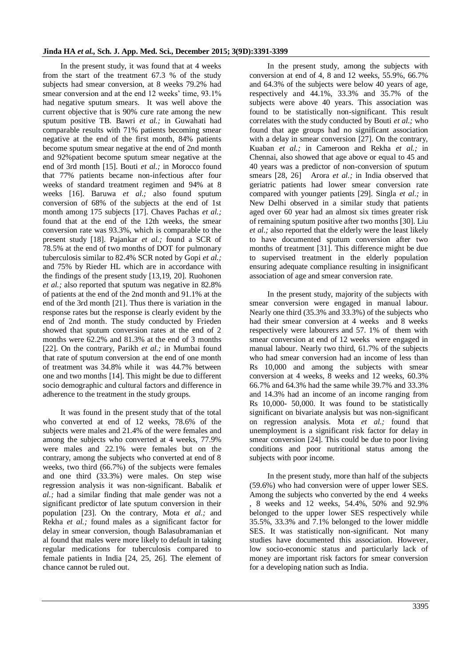In the present study, it was found that at 4 weeks from the start of the treatment 67.3 % of the study subjects had smear conversion, at 8 weeks 79.2% had smear conversion and at the end 12 weeks' time, 93.1% had negative sputum smears. It was well above the current objective that is 90% cure rate among the new sputum positive TB. Bawri *et al.;* in Guwahati had comparable results with 71% patients becoming smear negative at the end of the first month, 84% patients become sputum smear negative at the end of 2nd month and 92%patient become sputum smear negative at the end of 3rd month [15]. Bouti *et al.;* in Morocco found that 77% patients became non-infectious after four weeks of standard treatment regimen and 94% at 8 weeks [16]. Baruwa *et al.;* also found sputum conversion of 68% of the subjects at the end of 1st month among 175 subjects [17]. Chaves Pachas *et al.;* found that at the end of the 12th weeks, the smear conversion rate was 93.3%, which is comparable to the present study [18]. Pajankar *et al.;* found a SCR of 78.5% at the end of two months of DOT for pulmonary tuberculosis similar to 82.4% SCR noted by Gopi *et al.;* and 75% by Rieder HL which are in accordance with the findings of the present study [13,19, 20]. Ruohonen *et al.;* also reported that sputum was negative in 82.8% of patients at the end of the 2nd month and 91.1% at the end of the 3rd month [21]. Thus there is variation in the response rates but the response is clearly evident by the end of 2nd month. The study conducted by Frieden showed that sputum conversion rates at the end of 2 months were 62.2% and 81.3% at the end of 3 months [22]. On the contrary, Parikh *et al.;* in Mumbai found that rate of sputum conversion at the end of one month of treatment was 34.8% while it was 44.7% between one and two months [14]. This might be due to different socio demographic and cultural factors and difference in adherence to the treatment in the study groups.

It was found in the present study that of the total who converted at end of 12 weeks, 78.6% of the subjects were males and 21.4% of the were females and among the subjects who converted at 4 weeks, 77.9% were males and 22.1% were females but on the contrary, among the subjects who converted at end of 8 weeks, two third (66.7%) of the subjects were females and one third (33.3%) were males. On step wise regression analysis it was non-significant. Babalik *et al.;* had a similar finding that male gender was not a significant predictor of late sputum conversion in their population [23]. On the contrary, Mota *et al.;* and Rekha *et al.;* found males as a significant factor for delay in smear conversion, though Balasubramanian et al found that males were more likely to default in taking regular medications for tuberculosis compared to female patients in India [24, 25, 26]. The element of chance cannot be ruled out.

In the present study, among the subjects with conversion at end of 4, 8 and 12 weeks, 55.9%, 66.7% and 64.3% of the subjects were below 40 years of age, respectively and 44.1%, 33.3% and 35.7% of the subjects were above 40 years. This association was found to be statistically non-significant. This result correlates with the study conducted by Bouti *et al.;* who found that age groups had no significant association with a delay in smear conversion [27]. On the contrary, Kuaban *et al.;* in Cameroon and Rekha *et al.;* in Chennai, also showed that age above or equal to 45 and 40 years was a predictor of non-conversion of sputum smears [28, 26] Arora *et al.;* in India observed that geriatric patients had lower smear conversion rate compared with younger patients [29]. Singla *et al.;* in New Delhi observed in a similar study that patients aged over 60 year had an almost six times greater risk of remaining sputum positive after two months [30]. Liu *et al.;* also reported that the elderly were the least likely to have documented sputum conversion after two months of treatment [31]. This difference might be due to supervised treatment in the elderly population ensuring adequate compliance resulting in insignificant association of age and smear conversion rate.

In the present study, majority of the subjects with smear conversion were engaged in manual labour. Nearly one third (35.3% and 33.3%) of the subjects who had their smear conversion at 4 weeks and 8 weeks respectively were labourers and 57. 1% of them with smear conversion at end of 12 weeks were engaged in manual labour. Nearly two third, 61.7% of the subjects who had smear conversion had an income of less than Rs 10,000 and among the subjects with smear conversion at 4 weeks, 8 weeks and 12 weeks, 60.3% 66.7% and 64.3% had the same while 39.7% and 33.3% and 14.3% had an income of an income ranging from Rs 10,000- 50,000. It was found to be statistically significant on bivariate analysis but was non-significant on regression analysis. Mota *et al.;* found that unemployment is a significant risk factor for delay in smear conversion [24]. This could be due to poor living conditions and poor nutritional status among the subjects with poor income.

In the present study, more than half of the subjects (59.6%) who had conversion were of upper lower SES. Among the subjects who converted by the end 4 weeks , 8 weeks and 12 weeks, 54.4%, 50% and 92.9% belonged to the upper lower SES respectively while 35.5%, 33.3% and 7.1% belonged to the lower middle SES. It was statistically non-significant. Not many studies have documented this association. However, low socio-economic status and particularly lack of money are important risk factors for smear conversion for a developing nation such as India.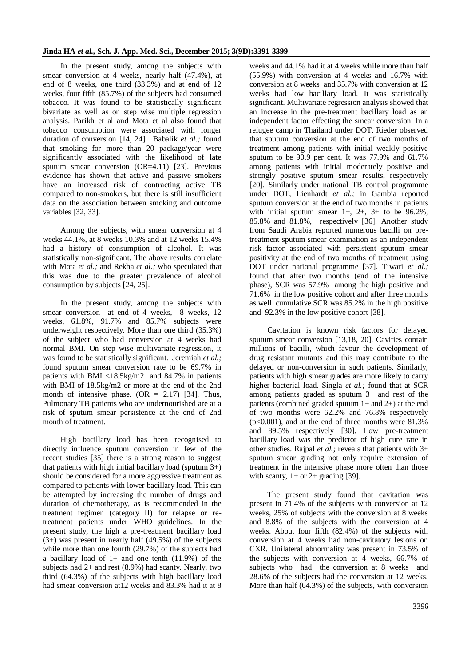In the present study, among the subjects with smear conversion at 4 weeks, nearly half (47.4%), at end of 8 weeks, one third (33.3%) and at end of 12 weeks, four fifth (85.7%) of the subjects had consumed tobacco. It was found to be statistically significant bivariate as well as on step wise multiple regression analysis. Parikh et al and Mota et al also found that tobacco consumption were associated with longer duration of conversion [14, 24]. Babalik *et al.;* found that smoking for more than 20 package/year were significantly associated with the likelihood of late sputum smear conversion (OR=4.11) [23]. Previous evidence has shown that active and passive smokers have an increased risk of contracting active TB compared to non-smokers, but there is still insufficient data on the association between smoking and outcome variables [32, 33].

Among the subjects, with smear conversion at 4 weeks 44.1%, at 8 weeks 10.3% and at 12 weeks 15.4% had a history of consumption of alcohol. It was statistically non-significant. The above results correlate with Mota *et al.;* and Rekha *et al.;* who speculated that this was due to the greater prevalence of alcohol consumption by subjects [24, 25].

In the present study, among the subjects with smear conversion at end of 4 weeks, 8 weeks, 12 weeks, 61.8%, 91.7% and 85.7% subjects were underweight respectively. More than one third (35.3%) of the subject who had conversion at 4 weeks had normal BMI. On step wise multivariate regression, it was found to be statistically significant. Jeremiah *et al.;* found sputum smear conversion rate to be 69.7% in patients with BMI <18.5kg/m2 and 84.7% in patients with BMI of 18.5kg/m2 or more at the end of the 2nd month of intensive phase.  $(OR = 2.17)$  [34]. Thus, Pulmonary TB patients who are undernourished are at a risk of sputum smear persistence at the end of 2nd month of treatment.

High bacillary load has been recognised to directly influence sputum conversion in few of the recent studies [35] there is a strong reason to suggest that patients with high initial bacillary load (sputum  $3+$ ) should be considered for a more aggressive treatment as compared to patients with lower bacillary load. This can be attempted by increasing the number of drugs and duration of chemotherapy, as is recommended in the treatment regimen (category II) for relapse or retreatment patients under WHO guidelines. In the present study, the high a pre-treatment bacillary load (3+) was present in nearly half (49.5%) of the subjects while more than one fourth (29.7%) of the subjects had a bacillary load of  $1+$  and one tenth  $(11.9\%)$  of the subjects had 2+ and rest (8.9%) had scanty. Nearly, two third (64.3%) of the subjects with high bacillary load had smear conversion at12 weeks and 83.3% had it at 8

weeks and 44.1% had it at 4 weeks while more than half (55.9%) with conversion at 4 weeks and 16.7% with conversion at 8 weeks and 35.7% with conversion at 12 weeks had low bacillary load. It was statistically significant. Multivariate regression analysis showed that an increase in the pre-treatment bacillary load as an independent factor effecting the smear conversion. In a refugee camp in Thailand under DOT, Rieder observed that sputum conversion at the end of two months of treatment among patients with initial weakly positive sputum to be 90.9 per cent. It was 77.9% and 61.7% among patients with initial moderately positive and strongly positive sputum smear results, respectively [20]. Similarly under national TB control programme under DOT, Lienhardt *et al.;* in Gambia reported sputum conversion at the end of two months in patients with initial sputum smear  $1+$ ,  $2+$ ,  $3+$  to be 96.2%, 85.8% and 81.8%, respectively [36]. Another study from Saudi Arabia reported numerous bacilli on pretreatment sputum smear examination as an independent risk factor associated with persistent sputum smear positivity at the end of two months of treatment using DOT under national programme [37]. Tiwari *et al.;* found that after two months (end of the intensive phase), SCR was 57.9% among the high positive and 71.6% in the low positive cohort and after three months as well cumulative SCR was 85.2% in the high positive and 92.3% in the low positive cohort [38].

Cavitation is known risk factors for delayed sputum smear conversion [13,18, 20]. Cavities contain millions of bacilli, which favour the development of drug resistant mutants and this may contribute to the delayed or non-conversion in such patients. Similarly, patients with high smear grades are more likely to carry higher bacterial load. Singla *et al.;* found that at SCR among patients graded as sputum 3+ and rest of the patients (combined graded sputum 1+ and 2+) at the end of two months were 62.2% and 76.8% respectively  $(p<0.001)$ , and at the end of three months were 81.3% and 89.5% respectively [30]. Low pre-treatment bacillary load was the predictor of high cure rate in other studies. Rajpal *et al.;* reveals that patients with 3+ sputum smear grading not only require extension of treatment in the intensive phase more often than those with scanty,  $1+$  or  $2+$  grading [39].

The present study found that cavitation was present in 71.4% of the subjects with conversion at 12 weeks, 25% of subjects with the conversion at 8 weeks and 8.8% of the subjects with the conversion at 4 weeks. About four fifth (82.4%) of the subjects with conversion at 4 weeks had non-cavitatory lesions on CXR. Unilateral abnormality was present in 73.5% of the subjects with conversion at 4 weeks, 66.7% of subjects who had the conversion at 8 weeks and 28.6% of the subjects had the conversion at 12 weeks. More than half (64.3%) of the subjects, with conversion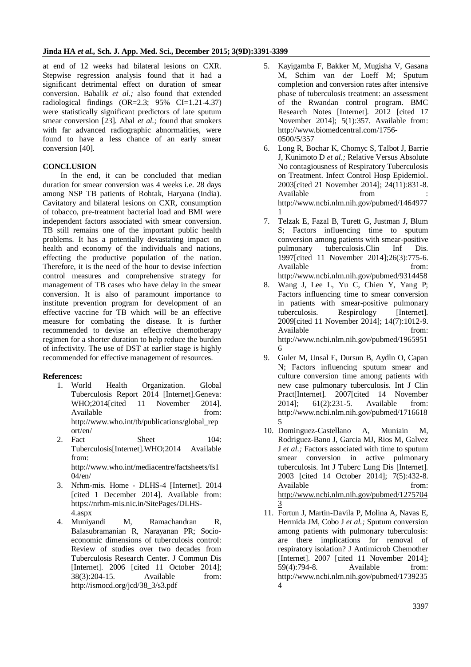at end of 12 weeks had bilateral lesions on CXR. Stepwise regression analysis found that it had a significant detrimental effect on duration of smear conversion. Babalik *et al.;* also found that extended radiological findings (OR=2.3; 95% CI=1.21-4.37) were statistically significant predictors of late sputum smear conversion [23]. Abal *et al.;* found that smokers with far advanced radiographic abnormalities, were found to have a less chance of an early smear conversion [40].

# **CONCLUSION**

In the end, it can be concluded that median duration for smear conversion was 4 weeks i.e. 28 days among NSP TB patients of Rohtak, Haryana (India). Cavitatory and bilateral lesions on CXR, consumption of tobacco, pre-treatment bacterial load and BMI were independent factors associated with smear conversion. TB still remains one of the important public health problems. It has a potentially devastating impact on health and economy of the individuals and nations, effecting the productive population of the nation. Therefore, it is the need of the hour to devise infection control measures and comprehensive strategy for management of TB cases who have delay in the smear conversion. It is also of paramount importance to institute prevention program for development of an effective vaccine for TB which will be an effective measure for combating the disease. It is further recommended to devise an effective chemotherapy regimen for a shorter duration to help reduce the burden of infectivity. The use of DST at earlier stage is highly recommended for effective management of resources.

# **References:**

- 1. World Health Organization. Global Tuberculosis Report 2014 [Internet].Geneva: WHO;2014[cited 11 November 2014]. Available from: http://www.who.int/tb/publications/global\_rep ort/en/
- 2. Fact Sheet 104: Tuberculosis[Internet].WHO;2014 Available from: http://www.who.int/mediacentre/factsheets/fs1 04/en/
- 3. Nrhm-mis. Home DLHS-4 [Internet]. 2014 [cited 1 December 2014]. Available from: https://nrhm-mis.nic.in/SitePages/DLHS-4.aspx
- 4. Muniyandi M, Ramachandran R, Balasubramanian R, Narayanan PR; Socioeconomic dimensions of tuberculosis control: Review of studies over two decades from Tuberculosis Research Center. J Commun Dis [Internet]. 2006 [cited 11 October 2014]; 38(3):204-15. Available from: http://ismocd.org/jcd/38\_3/s3.pdf
- 5. Kayigamba F, Bakker M, Mugisha V, Gasana M, Schim van der Loeff M; Sputum completion and conversion rates after intensive phase of tuberculosis treatment: an assessment of the Rwandan control program. BMC Research Notes [Internet]. 2012 [cited 17 November 2014]; 5(1):357. Available from: http://www.biomedcentral.com/1756- 0500/5/357
- 6. Long R, Bochar K, Chomyc S, Talbot J, Barrie J, Kunimoto D *et al.;* Relative Versus Absolute No contagiousness of Respiratory Tuberculosis on Treatment. Infect Control Hosp Epidemiol. 2003[cited 21 November 2014]; 24(11):831-8. Available from from http://www.ncbi.nlm.nih.gov/pubmed/1464977 1
- 7. Telzak E, Fazal B, Turett G, Justman J, Blum S; Factors influencing time to sputum conversion among patients with smear-positive pulmonary tuberculosis.Clin Inf Dis. 1997[cited 11 November 2014];26(3):775-6. Available from: http://www.ncbi.nlm.nih.gov/pubmed/9314458
- 8. Wang J, Lee L, Yu C, Chien Y, Yang P; Factors influencing time to smear conversion in patients with smear-positive pulmonary tuberculosis. Respirology [Internet]. 2009[cited 11 November 2014]; 14(7):1012-9. Available from: http://www.ncbi.nlm.nih.gov/pubmed/1965951 6
- 9. Guler M, Unsal E, Dursun B, Aydln O, Capan N; Factors influencing sputum smear and culture conversion time among patients with new case pulmonary tuberculosis. Int J Clin Pract[Internet]. 2007[cited 14 November 2014]; 61(2):231-5. Available from: http://www.ncbi.nlm.nih.gov/pubmed/1716618 5
- 10. Dominguez-Castellano A, Muniain M, Rodriguez-Bano J, Garcia MJ, Rios M, Galvez J *et al.;* Factors associated with time to sputum smear conversion in active pulmonary tuberculosis. Int J Tuberc Lung Dis [Internet]. 2003 [cited 14 October 2014]; 7(5):432-8. Available from: [http://www.ncbi.nlm.nih.gov/pubmed/1275704](http://www.ncbi.nlm.nih.gov/pubmed/12757043) [3](http://www.ncbi.nlm.nih.gov/pubmed/12757043)
- 11. Fortun J, Martin-Davila P, Molina A, Navas E, Hermida JM, Cobo J *et al.;* Sputum conversion among patients with pulmonary tuberculosis: are there implications for removal of respiratory isolation? J Antimicrob Chemother [Internet]. 2007 [cited 11 November 2014]; 59(4):794-8. Available from: http://www.ncbi.nlm.nih.gov/pubmed/1739235  $\overline{\mathbf{A}}$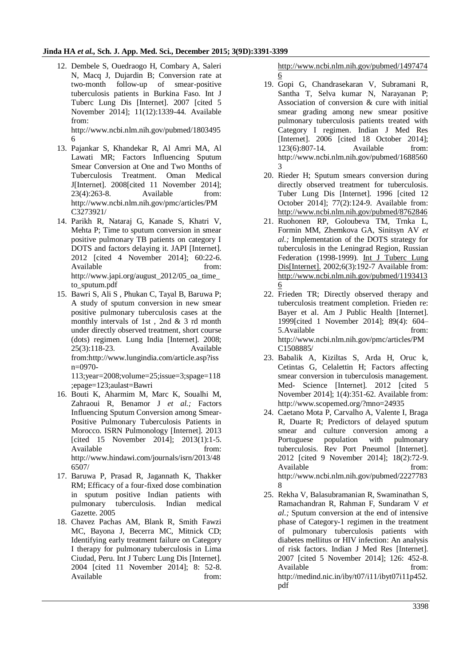12. Dembele S, Ouedraogo H, Combary A, Saleri N, Macq J, Dujardin B; Conversion rate at two-month follow-up of smear-positive tuberculosis patients in Burkina Faso. Int J Tuberc Lung Dis [Internet]. 2007 [cited 5 November 2014]; 11(12):1339-44. Available from:

http://www.ncbi.nlm.nih.gov/pubmed/1803495 6

- 13. Pajankar S, Khandekar R, Al Amri MA, Al Lawati MR; Factors Influencing Sputum Smear Conversion at One and Two Months of Tuberculosis Treatment. Oman Medical J[Internet]. 2008[cited 11 November 2014]; 23(4):263-8. Available from: http://www.ncbi.nlm.nih.gov/pmc/articles/PM C3273921/
- 14. Parikh R, Nataraj G, Kanade S, Khatri V, Mehta P; Time to sputum conversion in smear positive pulmonary TB patients on category I DOTS and factors delaying it. JAPI [Internet]. 2012 [cited 4 November 2014]; 60:22-6. Available from: http://www.japi.org/august\_2012/05\_oa\_time\_ to\_sputum.pdf
- 15. Bawri S, Ali S , Phukan C, Tayal B, Baruwa P; A study of sputum conversion in new smear positive pulmonary tuberculosis cases at the monthly intervals of 1st , 2nd & 3 rd month under directly observed treatment, short course (dots) regimen. Lung India [Internet]. 2008; 25(3):118-23. Available from:http://www.lungindia.com/article.asp?iss n=0970-

113;year=2008;volume=25;issue=3;spage=118 ;epage=123;aulast=Bawri

- 16. Bouti K, Aharmim M, Marc K, Soualhi M, Zahraoui R, Benamor J *et al.;* Factors Influencing Sputum Conversion among Smear-Positive Pulmonary Tuberculosis Patients in Morocco. ISRN Pulmonology [Internet]. 2013 [cited 15 November 2014]; 2013(1):1-5. Available from: http://www.hindawi.com/journals/isrn/2013/48 6507/
- 17. Baruwa P, Prasad R, Jagannath K, Thakker RM; Efficacy of a four-fixed dose combination in sputum positive Indian patients with pulmonary tuberculosis. Indian medical Gazette. 2005
- 18. Chavez Pachas AM, Blank R, Smith Fawzi MC, Bayona J, Becerra MC, Mitnick CD; Identifying early treatment failure on Category I therapy for pulmonary tuberculosis in Lima Ciudad, Peru. Int J Tuberc Lung Dis [Internet]. 2004 [cited 11 November 2014]; 8: 52-8. Available from:

[http://www.ncbi.nlm.nih.gov/pubmed/1497474](http://www.ncbi.nlm.nih.gov/pubmed/14974746) [6](http://www.ncbi.nlm.nih.gov/pubmed/14974746)

- 19. Gopi G, Chandrasekaran V, Subramani R, Santha T, Selva kumar N, Narayanan P; Association of conversion & cure with initial smear grading among new smear positive pulmonary tuberculosis patients treated with Category I regimen. Indian J Med Res [Internet]. 2006 [cited 18 October 2014]; 123(6):807-14. Available from: http://www.ncbi.nlm.nih.gov/pubmed/1688560 3
- 20. Rieder H; Sputum smears conversion during directly observed treatment for tuberculosis. Tuber Lung Dis [Internet]. 1996 [cited 12 October 2014]; 77(2):124-9. Available from: <http://www.ncbi.nlm.nih.gov/pubmed/8762846>
- 21. Ruohonen RP, Goloubeva TM, Trnka L, Formin MM, Zhemkova GA, Sinitsyn AV *et al.;* Implementation of the DOTS strategy for tuberculosis in the Leningrad Region, Russian Federation (1998-1999). [Int J Tuberc Lung](http://www.ncbi.nlm.nih.gov/pubmed/11934136)  [Dis\[Internet\].](http://www.ncbi.nlm.nih.gov/pubmed/11934136) 2002;6(3):192-7 Available from: [http://www.ncbi.nlm.nih.gov/pubmed/1193413](http://www.ncbi.nlm.nih.gov/pubmed/11934136) [6](http://www.ncbi.nlm.nih.gov/pubmed/11934136)
- 22. Frieden TR; Directly observed therapy and tuberculosis treatment completion. Frieden re: Bayer et al. Am J Public Health [Internet]. 1999[cited 1 November 2014]; 89(4): 604– 5.Available from: http://www.ncbi.nlm.nih.gov/pmc/articles/PM C1508885/
- 23. Babalik A, Kiziltas S, Arda H, Oruc k, Cetintas G, Celalettin H; Factors affecting smear conversion in tuberculosis management. Med- Science [Internet]. 2012 [cited 5 November 2014]; 1(4):351-62. Available from: http://www.scopemed.org/?mno=24935
- 24. Caetano Mota P, Carvalho A, Valente I, Braga R, Duarte R; Predictors of delayed sputum smear and culture conversion among a Portuguese population with pulmonary tuberculosis. Rev Port Pneumol [Internet]. 2012 [cited 9 November 2014]; 18(2):72-9. Available from: http://www.ncbi.nlm.nih.gov/pubmed/2227783 8
- 25. Rekha V, Balasubramanian R, Swaminathan S, Ramachandran R, Rahman F, Sundaram V *et al.;* Sputum conversion at the end of intensive phase of Category-1 regimen in the treatment of pulmonary tuberculosis patients with diabetes mellitus or HIV infection: An analysis of risk factors. Indian J Med Res [Internet]. 2007 [cited 5 November 2014]; 126: 452-8. Available from: http://medind.nic.in/iby/t07/i11/ibyt07i11p452. pdf